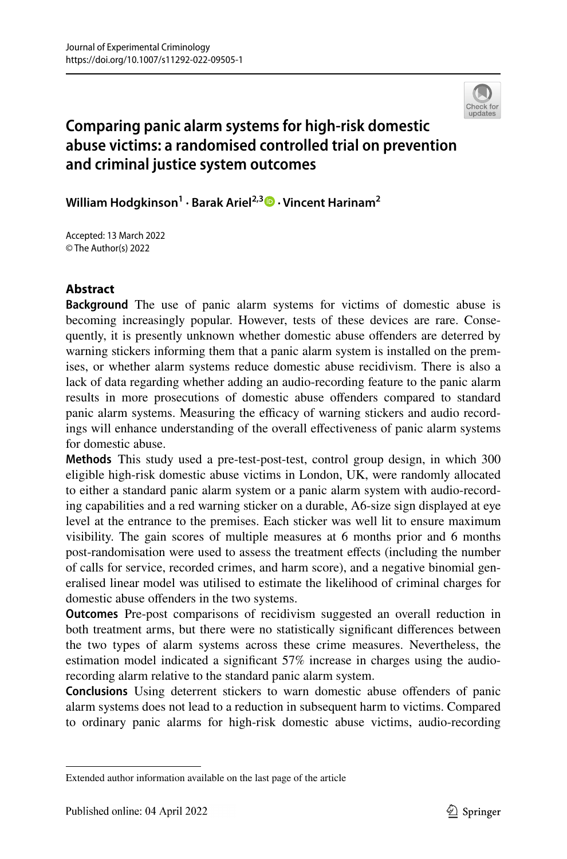

# **Comparing panic alarm systems for high‑risk domestic abuse victims: a randomised controlled trial on prevention and criminal justice system outcomes**

**William Hodgkinson1 · Barak Ariel2,3 · Vincent Harinam2**

Accepted: 13 March 2022 © The Author(s) 2022

# **Abstract**

**Background** The use of panic alarm systems for victims of domestic abuse is becoming increasingly popular. However, tests of these devices are rare. Consequently, it is presently unknown whether domestic abuse ofenders are deterred by warning stickers informing them that a panic alarm system is installed on the premises, or whether alarm systems reduce domestic abuse recidivism. There is also a lack of data regarding whether adding an audio-recording feature to the panic alarm results in more prosecutions of domestic abuse ofenders compared to standard panic alarm systems. Measuring the efficacy of warning stickers and audio recordings will enhance understanding of the overall efectiveness of panic alarm systems for domestic abuse.

**Methods** This study used a pre-test-post-test, control group design, in which 300 eligible high-risk domestic abuse victims in London, UK, were randomly allocated to either a standard panic alarm system or a panic alarm system with audio-recording capabilities and a red warning sticker on a durable, A6-size sign displayed at eye level at the entrance to the premises. Each sticker was well lit to ensure maximum visibility. The gain scores of multiple measures at 6 months prior and 6 months post-randomisation were used to assess the treatment effects (including the number of calls for service, recorded crimes, and harm score), and a negative binomial generalised linear model was utilised to estimate the likelihood of criminal charges for domestic abuse ofenders in the two systems.

**Outcomes** Pre-post comparisons of recidivism suggested an overall reduction in both treatment arms, but there were no statistically signifcant diferences between the two types of alarm systems across these crime measures. Nevertheless, the estimation model indicated a signifcant 57% increase in charges using the audiorecording alarm relative to the standard panic alarm system.

**Conclusions** Using deterrent stickers to warn domestic abuse ofenders of panic alarm systems does not lead to a reduction in subsequent harm to victims. Compared to ordinary panic alarms for high-risk domestic abuse victims, audio-recording

Extended author information available on the last page of the article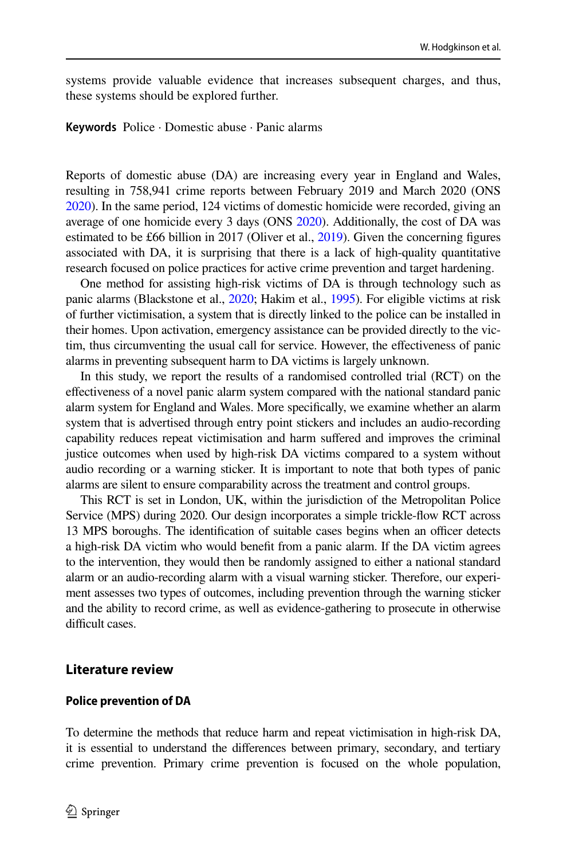systems provide valuable evidence that increases subsequent charges, and thus, these systems should be explored further.

**Keywords** Police · Domestic abuse · Panic alarms

Reports of domestic abuse (DA) are increasing every year in England and Wales, resulting in 758,941 crime reports between February 2019 and March 2020 (ONS [2020\)](#page-17-0). In the same period, 124 victims of domestic homicide were recorded, giving an average of one homicide every 3 days (ONS [2020](#page-17-0)). Additionally, the cost of DA was estimated to be £66 billion in 2017 (Oliver et al., [2019\)](#page-17-1). Given the concerning figures associated with DA, it is surprising that there is a lack of high-quality quantitative research focused on police practices for active crime prevention and target hardening.

One method for assisting high-risk victims of DA is through technology such as panic alarms (Blackstone et al., [2020;](#page-16-0) Hakim et al., [1995\)](#page-17-2). For eligible victims at risk of further victimisation, a system that is directly linked to the police can be installed in their homes. Upon activation, emergency assistance can be provided directly to the victim, thus circumventing the usual call for service. However, the efectiveness of panic alarms in preventing subsequent harm to DA victims is largely unknown.

In this study, we report the results of a randomised controlled trial (RCT) on the efectiveness of a novel panic alarm system compared with the national standard panic alarm system for England and Wales. More specifcally, we examine whether an alarm system that is advertised through entry point stickers and includes an audio-recording capability reduces repeat victimisation and harm sufered and improves the criminal justice outcomes when used by high-risk DA victims compared to a system without audio recording or a warning sticker. It is important to note that both types of panic alarms are silent to ensure comparability across the treatment and control groups.

This RCT is set in London, UK, within the jurisdiction of the Metropolitan Police Service (MPS) during 2020. Our design incorporates a simple trickle-fow RCT across 13 MPS boroughs. The identification of suitable cases begins when an officer detects a high-risk DA victim who would beneft from a panic alarm. If the DA victim agrees to the intervention, they would then be randomly assigned to either a national standard alarm or an audio-recording alarm with a visual warning sticker. Therefore, our experiment assesses two types of outcomes, including prevention through the warning sticker and the ability to record crime, as well as evidence-gathering to prosecute in otherwise difficult cases.

#### **Literature review**

#### **Police prevention of DA**

To determine the methods that reduce harm and repeat victimisation in high-risk DA, it is essential to understand the diferences between primary, secondary, and tertiary crime prevention. Primary crime prevention is focused on the whole population,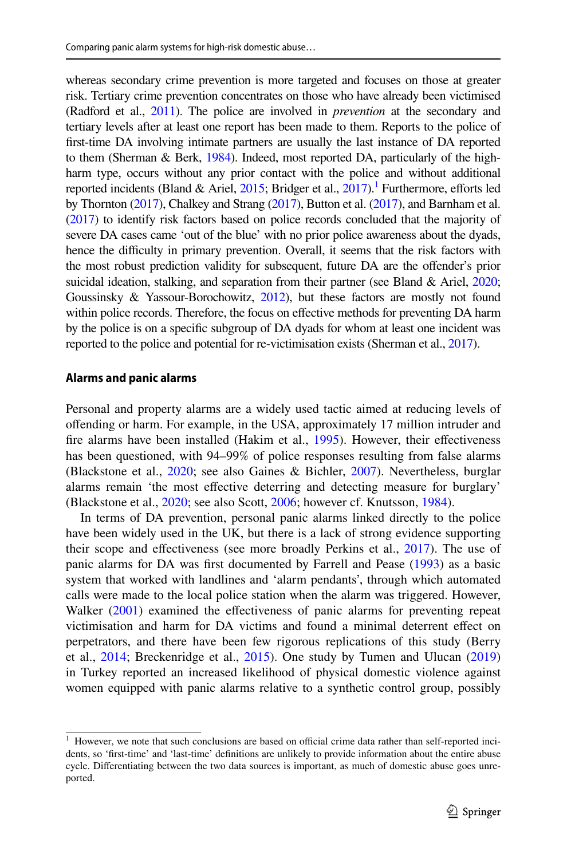whereas secondary crime prevention is more targeted and focuses on those at greater risk. Tertiary crime prevention concentrates on those who have already been victimised (Radford et al., [2011](#page-18-0)). The police are involved in *prevention* at the secondary and tertiary levels after at least one report has been made to them. Reports to the police of frst-time DA involving intimate partners are usually the last instance of DA reported to them (Sherman & Berk, [1984\)](#page-18-1). Indeed, most reported DA, particularly of the highharm type, occurs without any prior contact with the police and without additional reported incidents (Bland & Ariel,  $2015$ ; Bridger et al.,  $2017$ ).<sup>1</sup> Furthermore, efforts led by Thornton [\(2017](#page-18-2)), Chalkey and Strang ([2017\)](#page-17-3), Button et al. [\(2017\)](#page-16-3), and Barnham et al. [\(2017](#page-16-4)) to identify risk factors based on police records concluded that the majority of severe DA cases came 'out of the blue' with no prior police awareness about the dyads, hence the difficulty in primary prevention. Overall, it seems that the risk factors with the most robust prediction validity for subsequent, future DA are the ofender's prior suicidal ideation, stalking, and separation from their partner (see Bland & Ariel, [2020;](#page-16-5) Goussinsky & Yassour-Borochowitz, [2012](#page-17-4)), but these factors are mostly not found within police records. Therefore, the focus on efective methods for preventing DA harm by the police is on a specifc subgroup of DA dyads for whom at least one incident was reported to the police and potential for re-victimisation exists (Sherman et al., [2017\)](#page-18-3).

#### **Alarms and panic alarms**

Personal and property alarms are a widely used tactic aimed at reducing levels of ofending or harm. For example, in the USA, approximately 17 million intruder and fire alarms have been installed (Hakim et al., [1995](#page-17-2)). However, their effectiveness has been questioned, with 94–99% of police responses resulting from false alarms (Blackstone et al., [2020;](#page-16-0) see also Gaines & Bichler, [2007](#page-17-5)). Nevertheless, burglar alarms remain 'the most efective deterring and detecting measure for burglary' (Blackstone et al., [2020](#page-16-0); see also Scott, [2006](#page-18-4); however cf. Knutsson, [1984\)](#page-17-6).

In terms of DA prevention, personal panic alarms linked directly to the police have been widely used in the UK, but there is a lack of strong evidence supporting their scope and efectiveness (see more broadly Perkins et al., [2017](#page-17-7)). The use of panic alarms for DA was frst documented by Farrell and Pease ([1993\)](#page-17-8) as a basic system that worked with landlines and 'alarm pendants', through which automated calls were made to the local police station when the alarm was triggered. However, Walker ([2001\)](#page-18-5) examined the effectiveness of panic alarms for preventing repeat victimisation and harm for DA victims and found a minimal deterrent efect on perpetrators, and there have been few rigorous replications of this study (Berry et al.,  $2014$ ; Breckenridge et al.,  $2015$ ). One study by Tumen and Ulucan  $(2019)$  $(2019)$ in Turkey reported an increased likelihood of physical domestic violence against women equipped with panic alarms relative to a synthetic control group, possibly

<span id="page-2-0"></span> $1$  However, we note that such conclusions are based on official crime data rather than self-reported incidents, so 'frst-time' and 'last-time' defnitions are unlikely to provide information about the entire abuse cycle. Diferentiating between the two data sources is important, as much of domestic abuse goes unreported.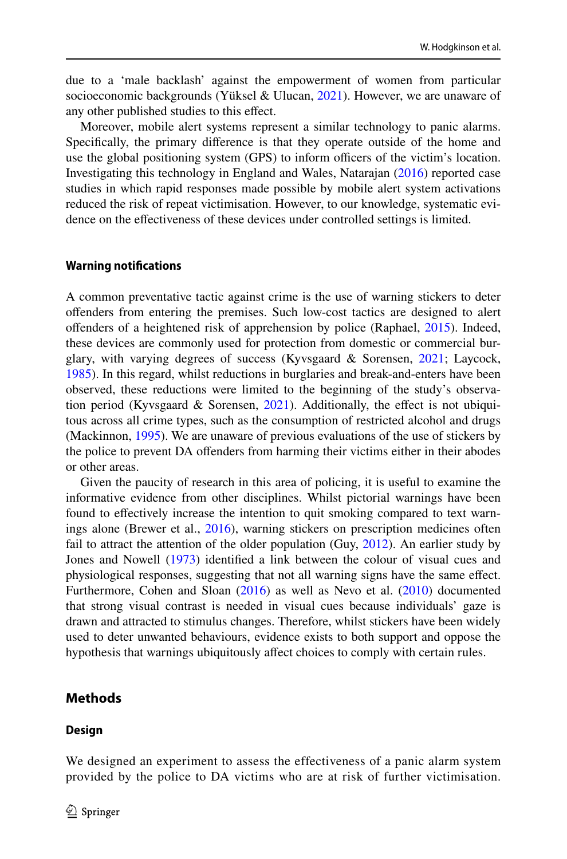due to a 'male backlash' against the empowerment of women from particular socioeconomic backgrounds (Yüksel & Ulucan, [2021\)](#page-18-7). However, we are unaware of any other published studies to this efect.

Moreover, mobile alert systems represent a similar technology to panic alarms. Specifcally, the primary diference is that they operate outside of the home and use the global positioning system (GPS) to inform officers of the victim's location. Investigating this technology in England and Wales, Natarajan ([2016\)](#page-17-9) reported case studies in which rapid responses made possible by mobile alert system activations reduced the risk of repeat victimisation. However, to our knowledge, systematic evidence on the efectiveness of these devices under controlled settings is limited.

#### **Warning notifcations**

A common preventative tactic against crime is the use of warning stickers to deter ofenders from entering the premises. Such low-cost tactics are designed to alert ofenders of a heightened risk of apprehension by police (Raphael, [2015](#page-18-8)). Indeed, these devices are commonly used for protection from domestic or commercial burglary, with varying degrees of success (Kyvsgaard & Sorensen, [2021;](#page-17-10) Laycock, [1985](#page-17-11)). In this regard, whilst reductions in burglaries and break-and-enters have been observed, these reductions were limited to the beginning of the study's observation period (Kyvsgaard  $\&$  Sorensen, [2021\)](#page-17-10). Additionally, the effect is not ubiquitous across all crime types, such as the consumption of restricted alcohol and drugs (Mackinnon, [1995\)](#page-17-12). We are unaware of previous evaluations of the use of stickers by the police to prevent DA ofenders from harming their victims either in their abodes or other areas.

Given the paucity of research in this area of policing, it is useful to examine the informative evidence from other disciplines. Whilst pictorial warnings have been found to efectively increase the intention to quit smoking compared to text warnings alone (Brewer et al., [2016](#page-16-8)), warning stickers on prescription medicines often fail to attract the attention of the older population (Guy, [2012](#page-17-13)). An earlier study by Jones and Nowell ([1973\)](#page-17-14) identifed a link between the colour of visual cues and physiological responses, suggesting that not all warning signs have the same efect. Furthermore, Cohen and Sloan [\(2016](#page-17-15)) as well as Nevo et al. [\(2010](#page-17-16)) documented that strong visual contrast is needed in visual cues because individuals' gaze is drawn and attracted to stimulus changes. Therefore, whilst stickers have been widely used to deter unwanted behaviours, evidence exists to both support and oppose the hypothesis that warnings ubiquitously afect choices to comply with certain rules.

#### **Methods**

#### **Design**

We designed an experiment to assess the effectiveness of a panic alarm system provided by the police to DA victims who are at risk of further victimisation.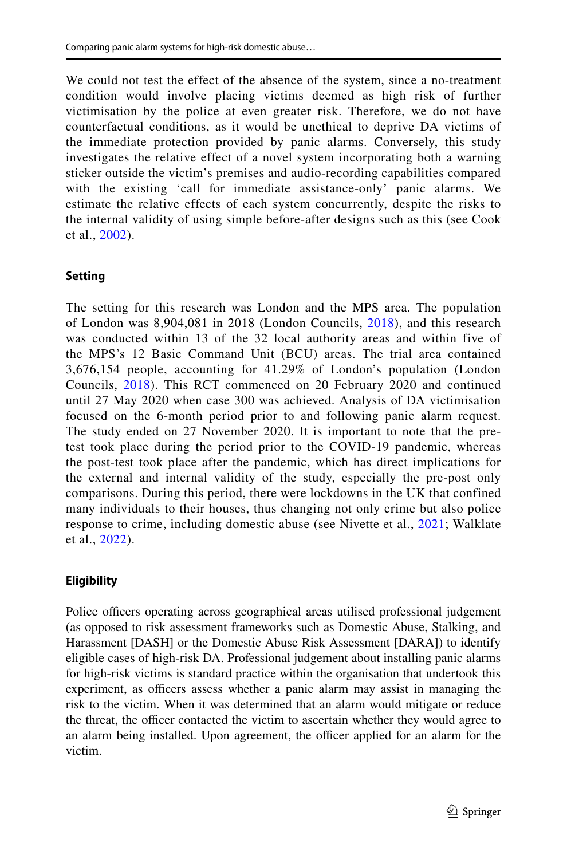We could not test the effect of the absence of the system, since a no-treatment condition would involve placing victims deemed as high risk of further victimisation by the police at even greater risk. Therefore, we do not have counterfactual conditions, as it would be unethical to deprive DA victims of the immediate protection provided by panic alarms. Conversely, this study investigates the relative effect of a novel system incorporating both a warning sticker outside the victim's premises and audio-recording capabilities compared with the existing 'call for immediate assistance-only' panic alarms. We estimate the relative effects of each system concurrently, despite the risks to the internal validity of using simple before-after designs such as this (see Cook et al., [2002](#page-17-17)).

# **Setting**

The setting for this research was London and the MPS area. The population of London was 8,904,081 in 2018 (London Councils, [2018\)](#page-17-18), and this research was conducted within 13 of the 32 local authority areas and within five of the MPS's 12 Basic Command Unit (BCU) areas. The trial area contained 3,676,154 people, accounting for 41.29% of London's population (London Councils, [2018\)](#page-17-18). This RCT commenced on 20 February 2020 and continued until 27 May 2020 when case 300 was achieved. Analysis of DA victimisation focused on the 6-month period prior to and following panic alarm request. The study ended on 27 November 2020. It is important to note that the pretest took place during the period prior to the COVID-19 pandemic, whereas the post-test took place after the pandemic, which has direct implications for the external and internal validity of the study, especially the pre-post only comparisons. During this period, there were lockdowns in the UK that confined many individuals to their houses, thus changing not only crime but also police response to crime, including domestic abuse (see Nivette et al., [2021](#page-17-19); Walklate et al., [2022](#page-18-9)).

# **Eligibility**

Police officers operating across geographical areas utilised professional judgement (as opposed to risk assessment frameworks such as Domestic Abuse, Stalking, and Harassment [DASH] or the Domestic Abuse Risk Assessment [DARA]) to identify eligible cases of high-risk DA. Professional judgement about installing panic alarms for high-risk victims is standard practice within the organisation that undertook this experiment, as officers assess whether a panic alarm may assist in managing the risk to the victim. When it was determined that an alarm would mitigate or reduce the threat, the officer contacted the victim to ascertain whether they would agree to an alarm being installed. Upon agreement, the officer applied for an alarm for the victim.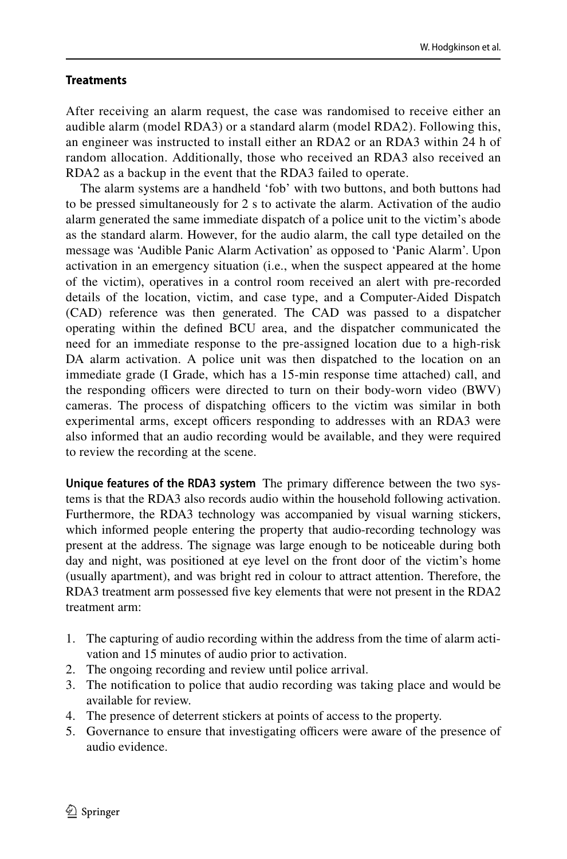### **Treatments**

After receiving an alarm request, the case was randomised to receive either an audible alarm (model RDA3) or a standard alarm (model RDA2). Following this, an engineer was instructed to install either an RDA2 or an RDA3 within 24 h of random allocation. Additionally, those who received an RDA3 also received an RDA2 as a backup in the event that the RDA3 failed to operate.

The alarm systems are a handheld 'fob' with two buttons, and both buttons had to be pressed simultaneously for 2 s to activate the alarm. Activation of the audio alarm generated the same immediate dispatch of a police unit to the victim's abode as the standard alarm. However, for the audio alarm, the call type detailed on the message was 'Audible Panic Alarm Activation' as opposed to 'Panic Alarm'. Upon activation in an emergency situation (i.e., when the suspect appeared at the home of the victim), operatives in a control room received an alert with pre-recorded details of the location, victim, and case type, and a Computer-Aided Dispatch (CAD) reference was then generated. The CAD was passed to a dispatcher operating within the defned BCU area, and the dispatcher communicated the need for an immediate response to the pre-assigned location due to a high-risk DA alarm activation. A police unit was then dispatched to the location on an immediate grade (I Grade, which has a 15-min response time attached) call, and the responding officers were directed to turn on their body-worn video (BWV) cameras. The process of dispatching officers to the victim was similar in both experimental arms, except officers responding to addresses with an RDA3 were also informed that an audio recording would be available, and they were required to review the recording at the scene.

**Unique features of the RDA3 system** The primary diference between the two systems is that the RDA3 also records audio within the household following activation. Furthermore, the RDA3 technology was accompanied by visual warning stickers, which informed people entering the property that audio-recording technology was present at the address. The signage was large enough to be noticeable during both day and night, was positioned at eye level on the front door of the victim's home (usually apartment), and was bright red in colour to attract attention. Therefore, the RDA3 treatment arm possessed five key elements that were not present in the RDA2 treatment arm:

- 1. The capturing of audio recording within the address from the time of alarm activation and 15 minutes of audio prior to activation.
- 2. The ongoing recording and review until police arrival.
- 3. The notifcation to police that audio recording was taking place and would be available for review.
- 4. The presence of deterrent stickers at points of access to the property.
- 5. Governance to ensure that investigating officers were aware of the presence of audio evidence.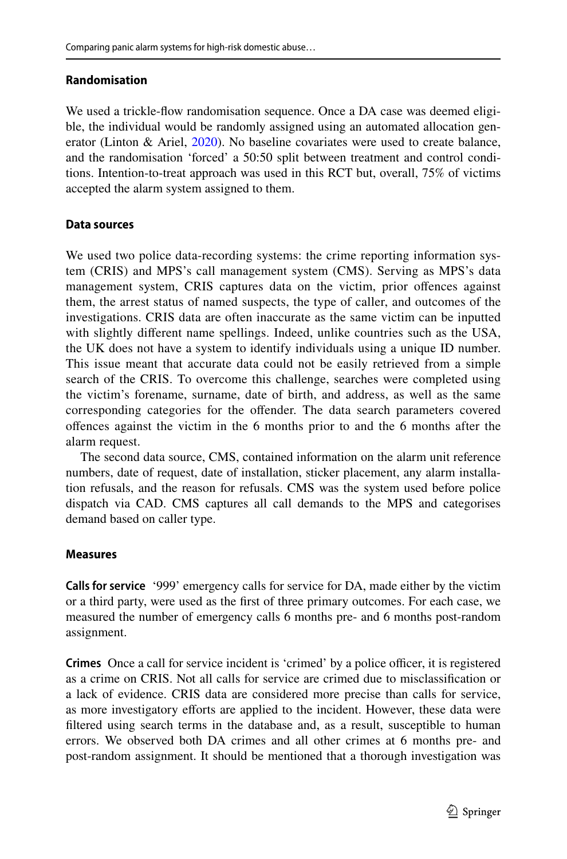### **Randomisation**

We used a trickle-fow randomisation sequence. Once a DA case was deemed eligible, the individual would be randomly assigned using an automated allocation generator (Linton & Ariel, [2020\)](#page-17-20). No baseline covariates were used to create balance, and the randomisation 'forced' a 50:50 split between treatment and control conditions. Intention-to-treat approach was used in this RCT but, overall, 75% of victims accepted the alarm system assigned to them.

### **Data sources**

We used two police data-recording systems: the crime reporting information system (CRIS) and MPS's call management system (CMS). Serving as MPS's data management system, CRIS captures data on the victim, prior ofences against them, the arrest status of named suspects, the type of caller, and outcomes of the investigations. CRIS data are often inaccurate as the same victim can be inputted with slightly diferent name spellings. Indeed, unlike countries such as the USA, the UK does not have a system to identify individuals using a unique ID number. This issue meant that accurate data could not be easily retrieved from a simple search of the CRIS. To overcome this challenge, searches were completed using the victim's forename, surname, date of birth, and address, as well as the same corresponding categories for the ofender. The data search parameters covered ofences against the victim in the 6 months prior to and the 6 months after the alarm request.

The second data source, CMS, contained information on the alarm unit reference numbers, date of request, date of installation, sticker placement, any alarm installation refusals, and the reason for refusals. CMS was the system used before police dispatch via CAD. CMS captures all call demands to the MPS and categorises demand based on caller type.

### **Measures**

**Calls for service** '999' emergency calls for service for DA, made either by the victim or a third party, were used as the frst of three primary outcomes. For each case, we measured the number of emergency calls 6 months pre- and 6 months post-random assignment.

**Crimes** Once a call for service incident is 'crimed' by a police officer, it is registered as a crime on CRIS. Not all calls for service are crimed due to misclassifcation or a lack of evidence. CRIS data are considered more precise than calls for service, as more investigatory eforts are applied to the incident. However, these data were fltered using search terms in the database and, as a result, susceptible to human errors. We observed both DA crimes and all other crimes at 6 months pre- and post-random assignment. It should be mentioned that a thorough investigation was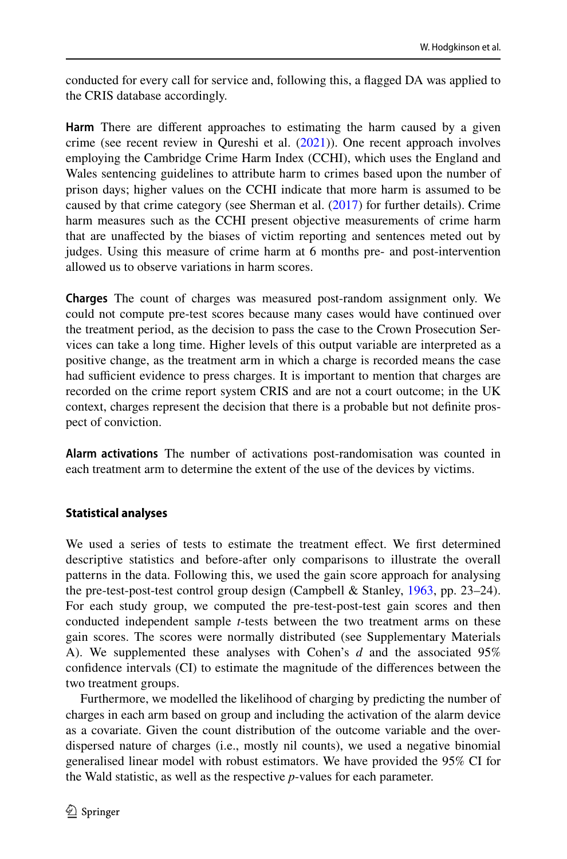conducted for every call for service and, following this, a fagged DA was applied to the CRIS database accordingly.

**Harm** There are diferent approaches to estimating the harm caused by a given crime (see recent review in Qureshi et al.  $(2021)$  $(2021)$ ). One recent approach involves employing the Cambridge Crime Harm Index (CCHI), which uses the England and Wales sentencing guidelines to attribute harm to crimes based upon the number of prison days; higher values on the CCHI indicate that more harm is assumed to be caused by that crime category (see Sherman et al. ([2017\)](#page-18-3) for further details). Crime harm measures such as the CCHI present objective measurements of crime harm that are unafected by the biases of victim reporting and sentences meted out by judges. Using this measure of crime harm at 6 months pre- and post-intervention allowed us to observe variations in harm scores.

**Charges** The count of charges was measured post-random assignment only. We could not compute pre-test scores because many cases would have continued over the treatment period, as the decision to pass the case to the Crown Prosecution Services can take a long time. Higher levels of this output variable are interpreted as a positive change, as the treatment arm in which a charge is recorded means the case had sufficient evidence to press charges. It is important to mention that charges are recorded on the crime report system CRIS and are not a court outcome; in the UK context, charges represent the decision that there is a probable but not defnite prospect of conviction.

**Alarm activations** The number of activations post-randomisation was counted in each treatment arm to determine the extent of the use of the devices by victims.

### **Statistical analyses**

We used a series of tests to estimate the treatment effect. We first determined descriptive statistics and before-after only comparisons to illustrate the overall patterns in the data. Following this, we used the gain score approach for analysing the pre-test-post-test control group design (Campbell & Stanley, [1963](#page-18-5), pp. 23–24). For each study group, we computed the pre-test-post-test gain scores and then conducted independent sample *t*-tests between the two treatment arms on these gain scores. The scores were normally distributed (see Supplementary Materials A). We supplemented these analyses with Cohen's *d* and the associated 95% confdence intervals (CI) to estimate the magnitude of the diferences between the two treatment groups.

Furthermore, we modelled the likelihood of charging by predicting the number of charges in each arm based on group and including the activation of the alarm device as a covariate. Given the count distribution of the outcome variable and the overdispersed nature of charges (i.e., mostly nil counts), we used a negative binomial generalised linear model with robust estimators. We have provided the 95% CI for the Wald statistic, as well as the respective *p*-values for each parameter.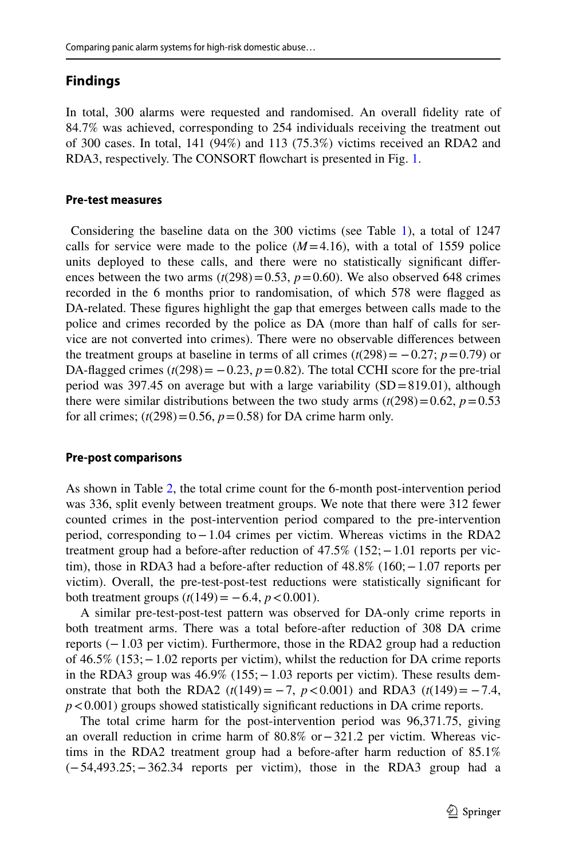# **Findings**

In total, 300 alarms were requested and randomised. An overall fdelity rate of 84.7% was achieved, corresponding to 254 individuals receiving the treatment out of 300 cases. In total, 141 (94%) and 113 (75.3%) victims received an RDA2 and RDA3, respectively. The CONSORT fowchart is presented in Fig. [1](#page-9-0).

### **Pre‑test measures**

 Considering the baseline data on the 300 victims (see Table [1](#page-10-0)), a total of 1247 calls for service were made to the police  $(M=4.16)$ , with a total of 1559 police units deployed to these calls, and there were no statistically signifcant diferences between the two arms  $(t(298)=0.53, p=0.60)$ . We also observed 648 crimes recorded in the 6 months prior to randomisation, of which 578 were fagged as DA-related. These fgures highlight the gap that emerges between calls made to the police and crimes recorded by the police as DA (more than half of calls for service are not converted into crimes). There were no observable diferences between the treatment groups at baseline in terms of all crimes  $(t(298) = -0.27; p=0.79)$  or DA-flagged crimes  $(t(298) = -0.23, p = 0.82)$ . The total CCHI score for the pre-trial period was 397.45 on average but with a large variability  $(SD=819.01)$ , although there were similar distributions between the two study arms  $(t(298)=0.62, p=0.53)$ for all crimes;  $(t(298)=0.56, p=0.58)$  for DA crime harm only.

### **Pre‑post comparisons**

As shown in Table [2](#page-11-0), the total crime count for the 6-month post-intervention period was 336, split evenly between treatment groups. We note that there were 312 fewer counted crimes in the post-intervention period compared to the pre-intervention period, corresponding to−1.04 crimes per victim. Whereas victims in the RDA2 treatment group had a before-after reduction of 47.5% (152; - 1.01 reports per victim), those in RDA3 had a before-after reduction of 48.8% (160;−1.07 reports per victim). Overall, the pre-test-post-test reductions were statistically signifcant for both treatment groups  $(t(149) = -6.4, p < 0.001)$ .

A similar pre-test-post-test pattern was observed for DA-only crime reports in both treatment arms. There was a total before-after reduction of 308 DA crime reports (−1.03 per victim). Furthermore, those in the RDA2 group had a reduction of 46.5% (153;−1.02 reports per victim), whilst the reduction for DA crime reports in the RDA3 group was 46.9% (155; − 1.03 reports per victim). These results demonstrate that both the RDA2  $(t(149) = -7, p < 0.001)$  and RDA3  $(t(149) = -7.4,$  $p$ <0.001) groups showed statistically significant reductions in DA crime reports.

The total crime harm for the post-intervention period was 96,371.75, giving an overall reduction in crime harm of 80.8% or−321.2 per victim. Whereas victims in the RDA2 treatment group had a before-after harm reduction of 85.1% (−54,493.25;−362.34 reports per victim), those in the RDA3 group had a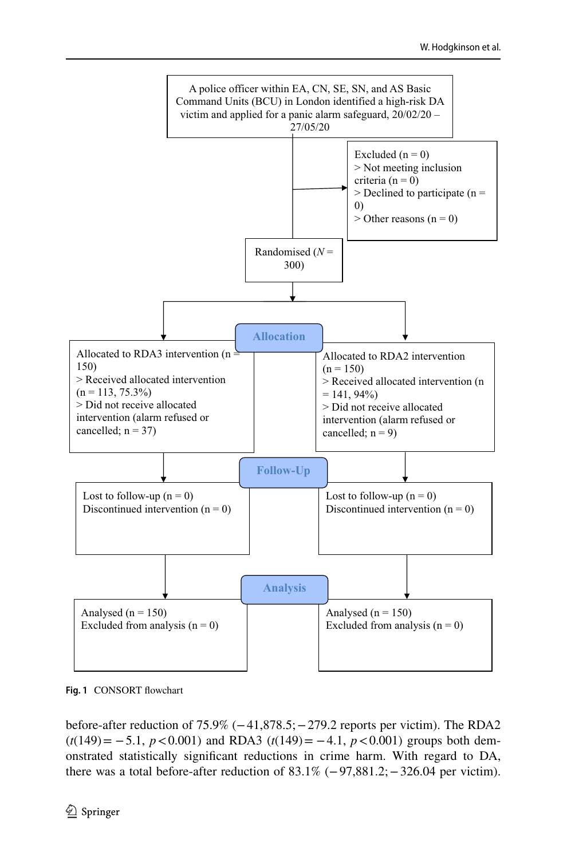

<span id="page-9-0"></span>**Fig. 1** CONSORT fowchart

before-after reduction of 75.9% (−41,878.5;−279.2 reports per victim). The RDA2 (*t*(149)= −5.1, *p*<0.001) and RDA3 (*t*(149)= −4.1, *p*<0.001) groups both demonstrated statistically signifcant reductions in crime harm. With regard to DA, there was a total before-after reduction of 83.1% (−97,881.2;−326.04 per victim).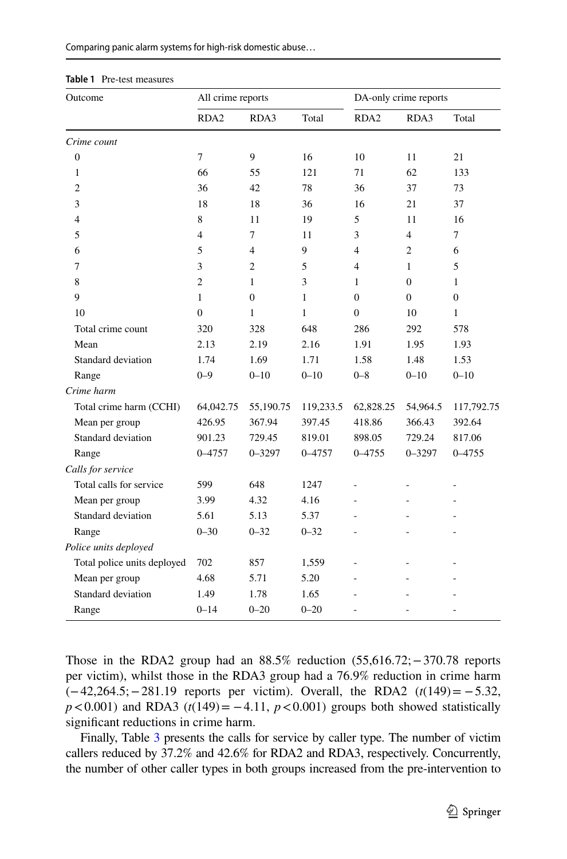|  |  |  |  | Comparing panic alarm systems for high-risk domestic abuse |
|--|--|--|--|------------------------------------------------------------|

| Outcome                     | All crime reports |                |           | DA-only crime reports |                |              |  |
|-----------------------------|-------------------|----------------|-----------|-----------------------|----------------|--------------|--|
|                             | RDA <sub>2</sub>  | RDA3           | Total     | RDA <sub>2</sub>      | RDA3           | Total        |  |
| Crime count                 |                   |                |           |                       |                |              |  |
| $\boldsymbol{0}$            | $\overline{7}$    | 9              | 16        | 10                    | 11             | 21           |  |
| 1                           | 66                | 55             | 121       | 71                    | 62             | 133          |  |
| $\overline{c}$              | 36                | 42             | 78        | 36                    | 37             | 73           |  |
| 3                           | 18                | 18             | 36        | 16                    | 21             | 37           |  |
| $\overline{4}$              | 8                 | 11             | 19        | 5                     | 11             | 16           |  |
| 5                           | $\overline{4}$    | 7              | 11        | 3                     | $\overline{4}$ | $\tau$       |  |
| 6                           | 5                 | 4              | 9         | $\overline{4}$        | $\overline{2}$ | 6            |  |
| 7                           | 3                 | $\overline{c}$ | 5         | $\overline{4}$        | $\mathbf{1}$   | 5            |  |
| 8                           | $\overline{2}$    | $\mathbf{1}$   | 3         | $\mathbf{1}$          | $\overline{0}$ | $\mathbf{1}$ |  |
| 9                           | 1                 | $\mathbf{0}$   | 1         | $\overline{0}$        | $\Omega$       | $\mathbf{0}$ |  |
| 10                          | $\mathbf{0}$      | 1              | 1         | $\overline{0}$        | 10             | 1            |  |
| Total crime count           | 320               | 328            | 648       | 286                   | 292            | 578          |  |
| Mean                        | 2.13              | 2.19           | 2.16      | 1.91                  | 1.95           | 1.93         |  |
| Standard deviation          | 1.74              | 1.69           | 1.71      | 1.58                  | 1.48           | 1.53         |  |
| Range                       | $0 - 9$           | $0 - 10$       | $0 - 10$  | $0 - 8$               | $0 - 10$       | $0 - 10$     |  |
| Crime harm                  |                   |                |           |                       |                |              |  |
| Total crime harm (CCHI)     | 64,042.75         | 55,190.75      | 119,233.5 | 62,828.25             | 54,964.5       | 117,792.75   |  |
| Mean per group              | 426.95            | 367.94         | 397.45    | 418.86                | 366.43         | 392.64       |  |
| Standard deviation          | 901.23            | 729.45         | 819.01    | 898.05                | 729.24         | 817.06       |  |
| Range                       | 0-4757            | $0 - 3297$     | 0-4757    | $0 - 4755$            | $0 - 3297$     | $0 - 4755$   |  |
| Calls for service           |                   |                |           |                       |                |              |  |
| Total calls for service     | 599               | 648            | 1247      |                       |                |              |  |
| Mean per group              | 3.99              | 4.32           | 4.16      |                       |                |              |  |
| Standard deviation          | 5.61              | 5.13           | 5.37      |                       |                |              |  |
| Range                       | $0 - 30$          | $0 - 32$       | $0 - 32$  |                       |                |              |  |
| Police units deployed       |                   |                |           |                       |                |              |  |
| Total police units deployed | 702               | 857            | 1,559     |                       |                |              |  |
| Mean per group              | 4.68              | 5.71           | 5.20      |                       |                |              |  |
| Standard deviation          | 1.49              | 1.78           | 1.65      |                       |                |              |  |
| Range                       | $0 - 14$          | $0 - 20$       | $0 - 20$  | L                     |                |              |  |

<span id="page-10-0"></span>

| <b>Table 1</b> Pre-test measures |  |  |
|----------------------------------|--|--|
|----------------------------------|--|--|

Those in the RDA2 group had an 88.5% reduction (55,616.72;−370.78 reports per victim), whilst those in the RDA3 group had a 76.9% reduction in crime harm (−42,264.5;−281.19 reports per victim). Overall, the RDA2 (*t*(149)= −5.32,  $p$ <0.001) and RDA3 ( $t$ (149) = −4.11,  $p$ <0.001) groups both showed statistically signifcant reductions in crime harm.

Finally, Table [3](#page-12-0) presents the calls for service by caller type. The number of victim callers reduced by 37.2% and 42.6% for RDA2 and RDA3, respectively. Concurrently, the number of other caller types in both groups increased from the pre-intervention to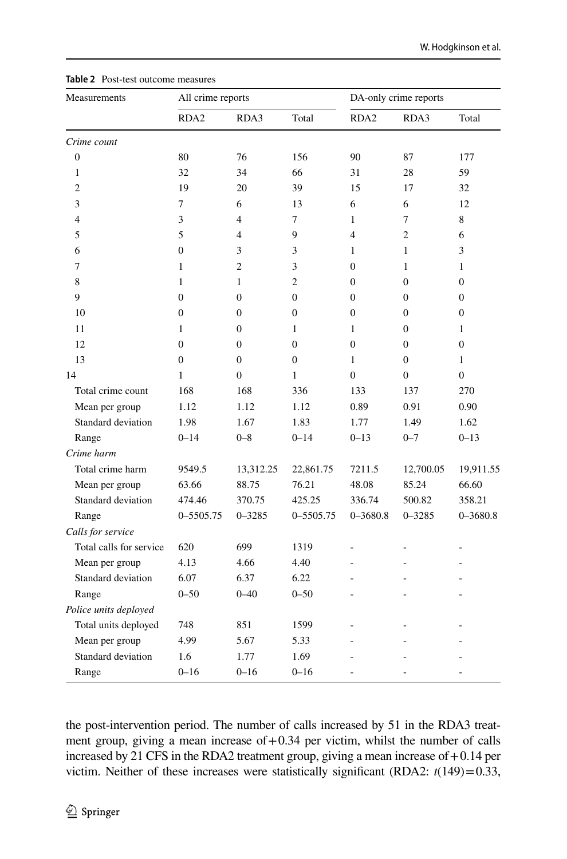| Measurements            | All crime reports |                |                |                  | DA-only crime reports |                |
|-------------------------|-------------------|----------------|----------------|------------------|-----------------------|----------------|
|                         | RDA <sub>2</sub>  | RDA3           | Total          | RDA <sub>2</sub> | RDA3                  | Total          |
| Crime count             |                   |                |                |                  |                       |                |
| $\mathbf{0}$            | 80                | 76             | 156            | 90               | 87                    | 177            |
| $\mathbf{1}$            | 32                | 34             | 66             | 31               | 28                    | 59             |
| $\overline{c}$          | 19                | 20             | 39             | 15               | 17                    | 32             |
| 3                       | 7                 | 6              | 13             | 6                | 6                     | 12             |
| 4                       | 3                 | $\overline{4}$ | 7              | 1                | 7                     | 8              |
| 5                       | 5                 | $\overline{4}$ | 9              | $\overline{4}$   | $\overline{c}$        | 6              |
| 6                       | $\theta$          | 3              | 3              | $\mathbf{1}$     | 1                     | 3              |
| 7                       | $\mathbf{1}$      | 2              | 3              | $\overline{0}$   | $\mathbf{1}$          | $\mathbf{1}$   |
| 8                       | $\mathbf{1}$      | $\mathbf{1}$   | $\overline{c}$ | $\overline{0}$   | $\boldsymbol{0}$      | $\overline{0}$ |
| 9                       | $\overline{0}$    | $\overline{0}$ | $\overline{0}$ | $\mathbf{0}$     | $\boldsymbol{0}$      | $\overline{0}$ |
| 10                      | $\overline{0}$    | $\mathbf{0}$   | $\mathbf{0}$   | $\mathbf{0}$     | $\boldsymbol{0}$      | $\overline{0}$ |
| 11                      | $\mathbf{1}$      | $\mathbf{0}$   | 1              | 1                | $\overline{0}$        | $\mathbf{1}$   |
| 12                      | $\overline{0}$    | $\mathbf{0}$   | $\mathbf{0}$   | $\Omega$         | $\overline{0}$        | $\overline{0}$ |
| 13                      | $\overline{0}$    | $\mathbf{0}$   | $\mathbf{0}$   | 1                | $\mathbf{0}$          | $\mathbf{1}$   |
| 14                      | $\mathbf{1}$      | $\overline{0}$ | $\mathbf{1}$   | $\overline{0}$   | $\boldsymbol{0}$      | $\overline{0}$ |
| Total crime count       | 168               | 168            | 336            | 133              | 137                   | 270            |
| Mean per group          | 1.12              | 1.12           | 1.12           | 0.89             | 0.91                  | 0.90           |
| Standard deviation      | 1.98              | 1.67           | 1.83           | 1.77             | 1.49                  | 1.62           |
| Range                   | $0 - 14$          | $0 - 8$        | $0 - 14$       | $0 - 13$         | $0 - 7$               | $0 - 13$       |
| Crime harm              |                   |                |                |                  |                       |                |
| Total crime harm        | 9549.5            | 13,312.25      | 22,861.75      | 7211.5           | 12,700.05             | 19,911.55      |
| Mean per group          | 63.66             | 88.75          | 76.21          | 48.08            | 85.24                 | 66.60          |
| Standard deviation      | 474.46            | 370.75         | 425.25         | 336.74           | 500.82                | 358.21         |
| Range                   | 0-5505.75         | $0 - 3285$     | 0-5505.75      | $0 - 3680.8$     | $0 - 3285$            | $0 - 3680.8$   |
| Calls for service       |                   |                |                |                  |                       |                |
| Total calls for service | 620               | 699            | 1319           |                  |                       | L,             |
| Mean per group          | 4.13              | 4.66           | 4.40           |                  |                       |                |
| Standard deviation      | 6.07              | 6.37           | 6.22           | ۷                |                       |                |
| Range                   | $0 - 50$          | $0 - 40$       | $0 - 50$       |                  |                       |                |
| Police units deployed   |                   |                |                |                  |                       |                |
| Total units deployed    | 748               | 851            | 1599           |                  |                       |                |
| Mean per group          | 4.99              | 5.67           | 5.33           |                  |                       |                |
| Standard deviation      | 1.6               | 1.77           | 1.69           |                  |                       |                |
| Range                   | $0 - 16$          | $0 - 16$       | $0 - 16$       |                  |                       |                |

<span id="page-11-0"></span>**Table 2** Post-test

the post-intervention period. The number of calls increased by 51 in the RDA3 treatment group, giving a mean increase of  $+0.34$  per victim, whilst the number of calls increased by 21 CFS in the RDA2 treatment group, giving a mean increase of  $+0.14$  per victim. Neither of these increases were statistically significant (RDA2:  $t(149)=0.33$ ,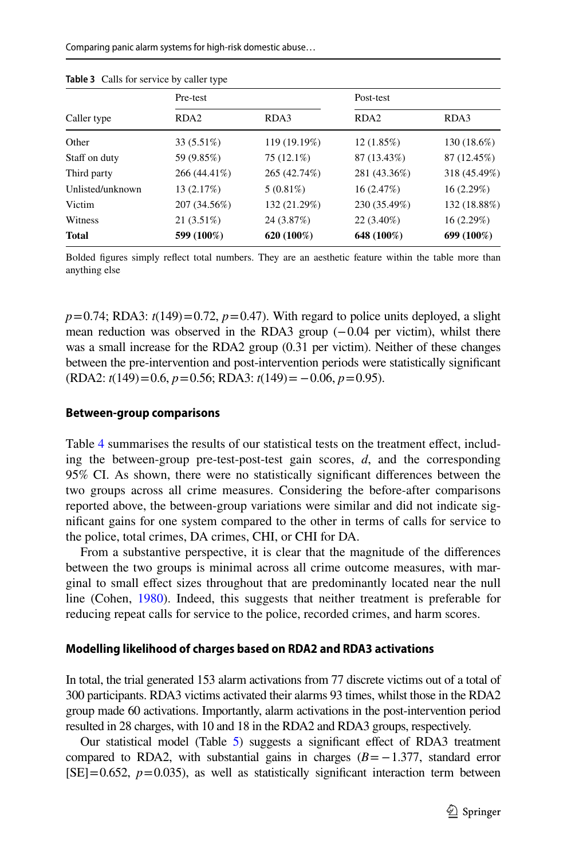|                  | Pre-test         |              | Post-test        |              |  |  |  |
|------------------|------------------|--------------|------------------|--------------|--|--|--|
| Caller type      | RDA <sub>2</sub> | RDA3         | RDA <sub>2</sub> | RDA3         |  |  |  |
| Other            | 33 (5.51%)       | 119 (19.19%) | 12(1.85%)        | 130 (18.6%)  |  |  |  |
| Staff on duty    | 59 (9.85%)       | 75 (12.1%)   | 87 (13.43%)      | 87 (12.45%)  |  |  |  |
| Third party      | 266 (44.41%)     | 265 (42.74%) | 281 (43.36%)     | 318 (45.49%) |  |  |  |
| Unlisted/unknown | 13 (2.17%)       | $5(0.81\%)$  | 16(2.47%)        | 16(2.29%)    |  |  |  |
| Victim           | 207 (34.56%)     | 132 (21.29%) | 230 (35.49%)     | 132 (18.88%) |  |  |  |
| Witness          | $21(3.51\%)$     | 24 (3.87%)   | $22(3.40\%)$     | 16(2.29%)    |  |  |  |
| <b>Total</b>     | 599 (100%)       | 620 (100%)   | 648 (100%)       | 699 (100%)   |  |  |  |

<span id="page-12-0"></span>**Table 3** Calls for service by caller type

Bolded fgures simply refect total numbers. They are an aesthetic feature within the table more than anything else

 $p=0.74$ ; RDA3:  $t(149)=0.72$ ,  $p=0.47$ ). With regard to police units deployed, a slight mean reduction was observed in the RDA3 group (−0.04 per victim), whilst there was a small increase for the RDA2 group  $(0.31$  per victim). Neither of these changes between the pre-intervention and post-intervention periods were statistically signifcant (RDA2: *t*(149)=0.6, *p*=0.56; RDA3: *t*(149)= −0.06, *p*=0.95).

#### **Between‑group comparisons**

Table [4](#page-13-0) summarises the results of our statistical tests on the treatment efect, including the between-group pre-test-post-test gain scores, *d*, and the corresponding 95% CI. As shown, there were no statistically signifcant diferences between the two groups across all crime measures. Considering the before-after comparisons reported above, the between-group variations were similar and did not indicate signifcant gains for one system compared to the other in terms of calls for service to the police, total crimes, DA crimes, CHI, or CHI for DA.

From a substantive perspective, it is clear that the magnitude of the diferences between the two groups is minimal across all crime outcome measures, with marginal to small efect sizes throughout that are predominantly located near the null line (Cohen, [1980\)](#page-17-21). Indeed, this suggests that neither treatment is preferable for reducing repeat calls for service to the police, recorded crimes, and harm scores.

#### **Modelling likelihood of charges based on RDA2 and RDA3 activations**

In total, the trial generated 153 alarm activations from 77 discrete victims out of a total of 300 participants. RDA3 victims activated their alarms 93 times, whilst those in the RDA2 group made 60 activations. Importantly, alarm activations in the post-intervention period resulted in 28 charges, with 10 and 18 in the RDA2 and RDA3 groups, respectively.

Our statistical model (Table [5](#page-14-0)) suggests a signifcant efect of RDA3 treatment compared to RDA2, with substantial gains in charges  $(B=-1.377,$  standard error  $[SE] = 0.652$ ,  $p = 0.035$ ), as well as statistically significant interaction term between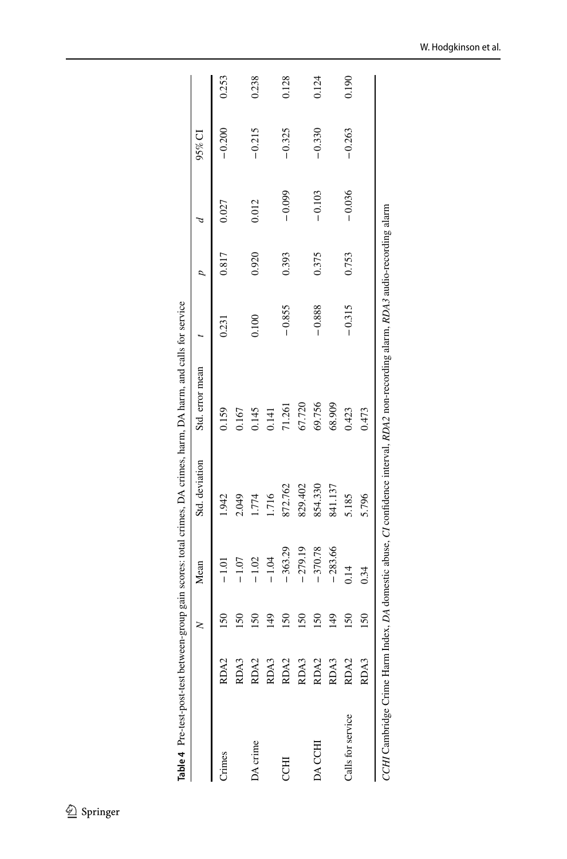|                           |                                                                                                        | 2               | Mean      | Std. deviation | Std. error mean                                                                                        |          | $\overline{a}$ |          | $95\%$ CI |       |
|---------------------------|--------------------------------------------------------------------------------------------------------|-----------------|-----------|----------------|--------------------------------------------------------------------------------------------------------|----------|----------------|----------|-----------|-------|
| Crimes                    | RDA2                                                                                                   | $\frac{50}{50}$ |           | 1.942          | 0.159                                                                                                  | 0.231    | 0.817          | 0.027    | $-0.200$  | 0.253 |
|                           | RDA3                                                                                                   | 150             | $-1.07$   | 2.049          | 0.167                                                                                                  |          |                |          |           |       |
| DA crime                  | $\begin{array}{l} \tt RDA2 \\ \tt RDA3 \\ \tt RDA2 \\ \tt RDA3 \\ \tt RDA2 \\ \tt RDA3 \\ \end{array}$ | $\overline{50}$ | $-1.02$   | 1.774          | 0.145                                                                                                  | 0.100    | 0.920          | 0.012    | $-0.215$  | 0.238 |
|                           |                                                                                                        | $\frac{4}{9}$   | $-1.04$   | 1.716          | 0.141                                                                                                  |          |                |          |           |       |
| <b>CCHI</b>               |                                                                                                        | $\frac{50}{50}$ | $-363.29$ | 872.762        | 71.261                                                                                                 | $-0.855$ | 0.393          | $-0.099$ | $-0.325$  | 0.128 |
|                           |                                                                                                        | $\frac{50}{50}$ | $-279.19$ | 829.402        | 67.720                                                                                                 |          |                |          |           |       |
| DA CCHI                   |                                                                                                        | $\overline{50}$ | $-370.78$ | 854.330        | 69.756                                                                                                 | $-0.888$ | 0.375          | $-0.103$ | $-0.330$  | 0.124 |
|                           |                                                                                                        | $\frac{49}{5}$  | $-283.66$ | 841.137        | 68.909                                                                                                 |          |                |          |           |       |
| Calls for service         | RDA2                                                                                                   | $\overline{50}$ | 0.14      | 5.185          | 0.423                                                                                                  | $-0.315$ | 0.753          | $-0.036$ | $-0.263$  | 0.190 |
|                           | RDA3                                                                                                   | 150             | 0.34      | 5.796          | 0.473                                                                                                  |          |                |          |           |       |
| CCHI Cambridge Crime Harm |                                                                                                        |                 |           |                | Index, DA domestic abuse, CI confidence interval, RDA2 non-recording alarm, RDA3 audio-recording alarm |          |                |          |           |       |

<span id="page-13-0"></span>Table 4 Pre-test-post-test between-group gain scores; total crimes, DA crimes, harm, DA harm, and calls for service **Table 4** Pre-test-post-test between-group gain scores: total crimes, DA crimes, harm, DA harm, and calls for service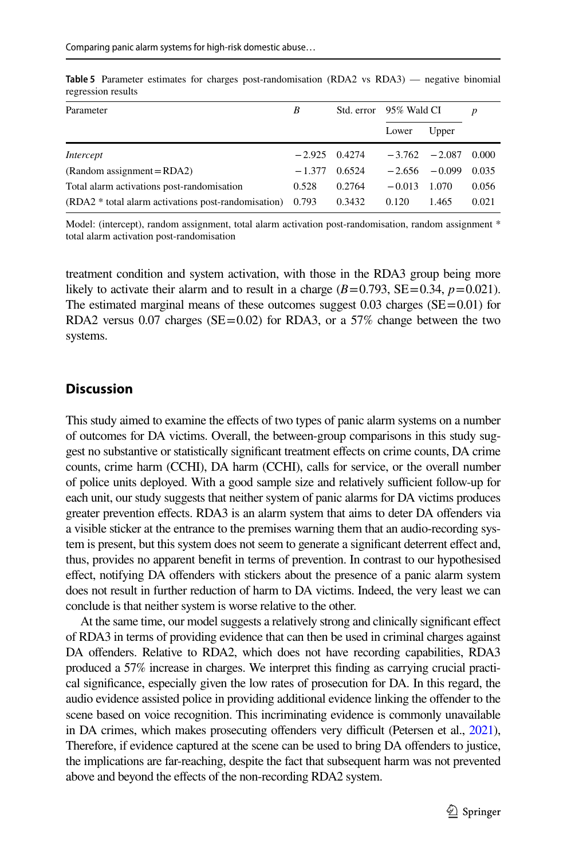| Parameter                                           | B        | Std. error 95% Wald CI |          |                  | $\boldsymbol{p}$ |
|-----------------------------------------------------|----------|------------------------|----------|------------------|------------------|
|                                                     |          |                        | Lower    | Upper            |                  |
| Intercept                                           | $-2.925$ | 0.4274                 |          | $-3.762 - 2.087$ | 0.000            |
| $(Random assignment = RDA2)$                        | $-1.377$ | 0.6524                 | $-2.656$ | $-0.099$         | 0.035            |
| Total alarm activations post-randomisation          | 0.528    | 0.2764                 | $-0.013$ | 1.070            | 0.056            |
| (RDA2 * total alarm activations post-randomisation) | 0.793    | 0.3432                 | 0.120    | 1.465            | 0.021            |

<span id="page-14-0"></span>**Table 5** Parameter estimates for charges post-randomisation (RDA2 vs RDA3) — negative binomial regression results

Model: (intercept), random assignment, total alarm activation post-randomisation, random assignment \* total alarm activation post-randomisation

treatment condition and system activation, with those in the RDA3 group being more likely to activate their alarm and to result in a charge  $(B=0.793, SE=0.34, p=0.021)$ . The estimated marginal means of these outcomes suggest  $0.03$  charges (SE=0.01) for RDA2 versus  $0.07$  charges (SE=0.02) for RDA3, or a 57% change between the two systems.

#### **Discussion**

This study aimed to examine the efects of two types of panic alarm systems on a number of outcomes for DA victims. Overall, the between-group comparisons in this study suggest no substantive or statistically signifcant treatment efects on crime counts, DA crime counts, crime harm (CCHI), DA harm (CCHI), calls for service, or the overall number of police units deployed. With a good sample size and relatively sufficient follow-up for each unit, our study suggests that neither system of panic alarms for DA victims produces greater prevention efects. RDA3 is an alarm system that aims to deter DA ofenders via a visible sticker at the entrance to the premises warning them that an audio-recording system is present, but this system does not seem to generate a signifcant deterrent efect and, thus, provides no apparent beneft in terms of prevention. In contrast to our hypothesised effect, notifying DA offenders with stickers about the presence of a panic alarm system does not result in further reduction of harm to DA victims. Indeed, the very least we can conclude is that neither system is worse relative to the other.

At the same time, our model suggests a relatively strong and clinically signifcant efect of RDA3 in terms of providing evidence that can then be used in criminal charges against DA offenders. Relative to RDA2, which does not have recording capabilities, RDA3 produced a 57% increase in charges. We interpret this fnding as carrying crucial practical signifcance, especially given the low rates of prosecution for DA. In this regard, the audio evidence assisted police in providing additional evidence linking the ofender to the scene based on voice recognition. This incriminating evidence is commonly unavailable in DA crimes, which makes prosecuting offenders very difficult (Petersen et al., [2021\)](#page-17-22), Therefore, if evidence captured at the scene can be used to bring DA ofenders to justice, the implications are far-reaching, despite the fact that subsequent harm was not prevented above and beyond the effects of the non-recording RDA2 system.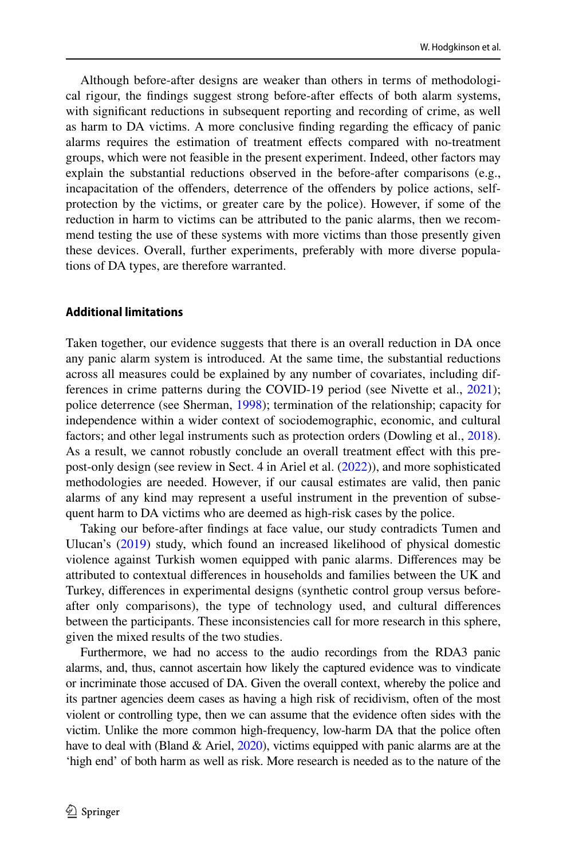Although before-after designs are weaker than others in terms of methodological rigour, the fndings suggest strong before-after efects of both alarm systems, with signifcant reductions in subsequent reporting and recording of crime, as well as harm to DA victims. A more conclusive finding regarding the efficacy of panic alarms requires the estimation of treatment effects compared with no-treatment groups, which were not feasible in the present experiment. Indeed, other factors may explain the substantial reductions observed in the before-after comparisons (e.g., incapacitation of the ofenders, deterrence of the ofenders by police actions, selfprotection by the victims, or greater care by the police). However, if some of the reduction in harm to victims can be attributed to the panic alarms, then we recommend testing the use of these systems with more victims than those presently given these devices. Overall, further experiments, preferably with more diverse populations of DA types, are therefore warranted.

#### **Additional limitations**

Taken together, our evidence suggests that there is an overall reduction in DA once any panic alarm system is introduced. At the same time, the substantial reductions across all measures could be explained by any number of covariates, including differences in crime patterns during the COVID-19 period (see Nivette et al., [2021](#page-17-19)); police deterrence (see Sherman, [1998](#page-18-11)); termination of the relationship; capacity for independence within a wider context of sociodemographic, economic, and cultural factors; and other legal instruments such as protection orders (Dowling et al., [2018\)](#page-17-23). As a result, we cannot robustly conclude an overall treatment efect with this prepost-only design (see review in Sect. 4 in Ariel et al. ([2022\)](#page-16-9)), and more sophisticated methodologies are needed. However, if our causal estimates are valid, then panic alarms of any kind may represent a useful instrument in the prevention of subsequent harm to DA victims who are deemed as high-risk cases by the police.

Taking our before-after fndings at face value, our study contradicts Tumen and Ulucan's ([2019\)](#page-18-6) study, which found an increased likelihood of physical domestic violence against Turkish women equipped with panic alarms. Diferences may be attributed to contextual diferences in households and families between the UK and Turkey, diferences in experimental designs (synthetic control group versus beforeafter only comparisons), the type of technology used, and cultural diferences between the participants. These inconsistencies call for more research in this sphere, given the mixed results of the two studies.

Furthermore, we had no access to the audio recordings from the RDA3 panic alarms, and, thus, cannot ascertain how likely the captured evidence was to vindicate or incriminate those accused of DA. Given the overall context, whereby the police and its partner agencies deem cases as having a high risk of recidivism, often of the most violent or controlling type, then we can assume that the evidence often sides with the victim. Unlike the more common high-frequency, low-harm DA that the police often have to deal with (Bland & Ariel, [2020](#page-16-5)), victims equipped with panic alarms are at the 'high end' of both harm as well as risk. More research is needed as to the nature of the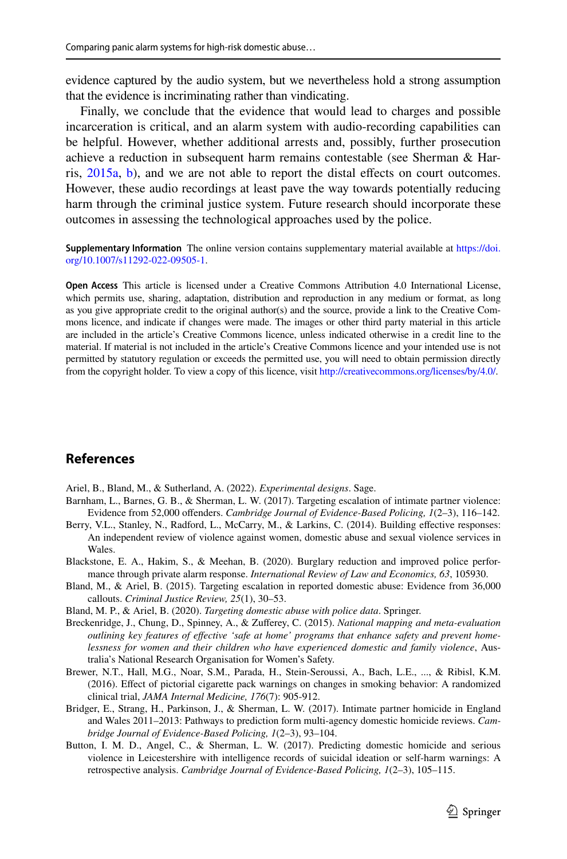evidence captured by the audio system, but we nevertheless hold a strong assumption that the evidence is incriminating rather than vindicating.

Finally, we conclude that the evidence that would lead to charges and possible incarceration is critical, and an alarm system with audio-recording capabilities can be helpful. However, whether additional arrests and, possibly, further prosecution achieve a reduction in subsequent harm remains contestable (see Sherman & Harris, [2015a,](#page-18-12) [b](#page-18-13)), and we are not able to report the distal efects on court outcomes. However, these audio recordings at least pave the way towards potentially reducing harm through the criminal justice system. Future research should incorporate these outcomes in assessing the technological approaches used by the police.

**Supplementary Information** The online version contains supplementary material available at [https://doi.](https://doi.org/10.1007/s11292-022-09505-1) [org/10.1007/s11292-022-09505-1](https://doi.org/10.1007/s11292-022-09505-1).

**Open Access** This article is licensed under a Creative Commons Attribution 4.0 International License, which permits use, sharing, adaptation, distribution and reproduction in any medium or format, as long as you give appropriate credit to the original author(s) and the source, provide a link to the Creative Commons licence, and indicate if changes were made. The images or other third party material in this article are included in the article's Creative Commons licence, unless indicated otherwise in a credit line to the material. If material is not included in the article's Creative Commons licence and your intended use is not permitted by statutory regulation or exceeds the permitted use, you will need to obtain permission directly from the copyright holder. To view a copy of this licence, visit <http://creativecommons.org/licenses/by/4.0/>.

## **References**

<span id="page-16-9"></span>Ariel, B., Bland, M., & Sutherland, A. (2022). *Experimental designs*. Sage.

- <span id="page-16-4"></span>Barnham, L., Barnes, G. B., & Sherman, L. W. (2017). Targeting escalation of intimate partner violence: Evidence from 52,000 ofenders. *Cambridge Journal of Evidence-Based Policing, 1*(2–3), 116–142.
- <span id="page-16-6"></span>Berry, V.L., Stanley, N., Radford, L., McCarry, M., & Larkins, C. (2014). Building efective responses: An independent review of violence against women, domestic abuse and sexual violence services in Wales.
- <span id="page-16-0"></span>Blackstone, E. A., Hakim, S., & Meehan, B. (2020). Burglary reduction and improved police performance through private alarm response. *International Review of Law and Economics, 63*, 105930.
- <span id="page-16-1"></span>Bland, M., & Ariel, B. (2015). Targeting escalation in reported domestic abuse: Evidence from 36,000 callouts. *Criminal Justice Review, 25*(1), 30–53.
- <span id="page-16-5"></span>Bland, M. P., & Ariel, B. (2020). *Targeting domestic abuse with police data*. Springer.
- <span id="page-16-7"></span>Breckenridge, J., Chung, D., Spinney, A., & Zuferey, C. (2015). *National mapping and meta-evaluation outlining key features of efective 'safe at home' programs that enhance safety and prevent homelessness for women and their children who have experienced domestic and family violence*, Australia's National Research Organisation for Women's Safety.
- <span id="page-16-8"></span>Brewer, N.T., Hall, M.G., Noar, S.M., Parada, H., Stein-Seroussi, A., Bach, L.E., ..., & Ribisl, K.M. (2016). Efect of pictorial cigarette pack warnings on changes in smoking behavior: A randomized clinical trial, *JAMA Internal Medicine, 176*(7): 905-912.
- <span id="page-16-2"></span>Bridger, E., Strang, H., Parkinson, J., & Sherman, L. W. (2017). Intimate partner homicide in England and Wales 2011–2013: Pathways to prediction form multi-agency domestic homicide reviews. *Cambridge Journal of Evidence-Based Policing, 1*(2–3), 93–104.
- <span id="page-16-3"></span>Button, I. M. D., Angel, C., & Sherman, L. W. (2017). Predicting domestic homicide and serious violence in Leicestershire with intelligence records of suicidal ideation or self-harm warnings: A retrospective analysis. *Cambridge Journal of Evidence-Based Policing, 1*(2–3), 105–115.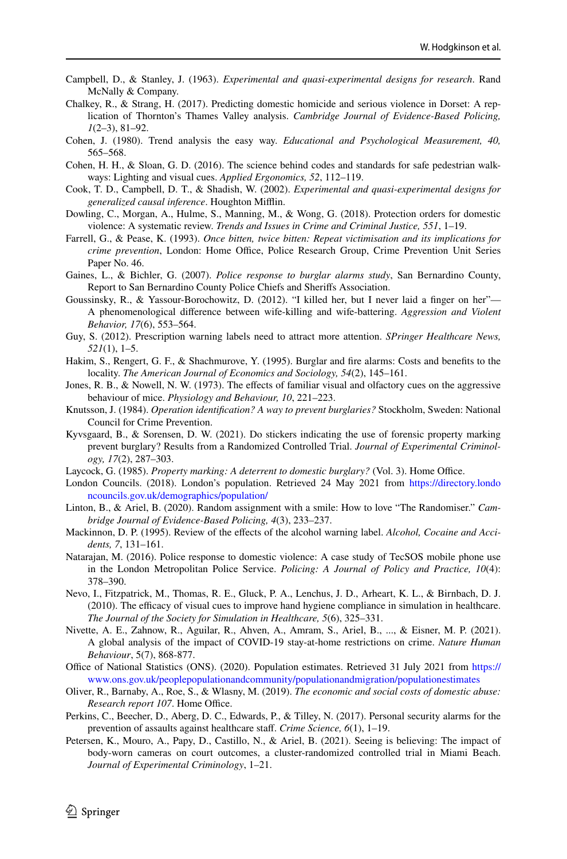- Campbell, D., & Stanley, J. (1963). *Experimental and quasi-experimental designs for research*. Rand McNally & Company.
- <span id="page-17-3"></span>Chalkey, R., & Strang, H. (2017). Predicting domestic homicide and serious violence in Dorset: A replication of Thornton's Thames Valley analysis. *Cambridge Journal of Evidence-Based Policing, 1*(2–3), 81–92.
- <span id="page-17-21"></span>Cohen, J. (1980). Trend analysis the easy way. *Educational and Psychological Measurement, 40,* 565–568.
- <span id="page-17-15"></span>Cohen, H. H., & Sloan, G. D. (2016). The science behind codes and standards for safe pedestrian walkways: Lighting and visual cues. *Applied Ergonomics, 52*, 112–119.
- <span id="page-17-17"></span>Cook, T. D., Campbell, D. T., & Shadish, W. (2002). *Experimental and quasi-experimental designs for generalized causal inference*. Houghton Mifin.
- <span id="page-17-23"></span>Dowling, C., Morgan, A., Hulme, S., Manning, M., & Wong, G. (2018). Protection orders for domestic violence: A systematic review. *Trends and Issues in Crime and Criminal Justice, 551*, 1–19.
- <span id="page-17-8"></span>Farrell, G., & Pease, K. (1993). *Once bitten, twice bitten: Repeat victimisation and its implications for crime prevention*, London: Home Office, Police Research Group, Crime Prevention Unit Series Paper No. 46.
- <span id="page-17-5"></span>Gaines, L., & Bichler, G. (2007). *Police response to burglar alarms study*, San Bernardino County, Report to San Bernardino County Police Chiefs and Sherifs Association.
- <span id="page-17-4"></span>Goussinsky, R., & Yassour-Borochowitz, D. (2012). "I killed her, but I never laid a fnger on her"— A phenomenological diference between wife-killing and wife-battering. *Aggression and Violent Behavior, 17*(6), 553–564.
- <span id="page-17-13"></span>Guy, S. (2012). Prescription warning labels need to attract more attention. *SPringer Healthcare News, 521*(1), 1–5.
- <span id="page-17-2"></span>Hakim, S., Rengert, G. F., & Shachmurove, Y. (1995). Burglar and fre alarms: Costs and benefts to the locality. *The American Journal of Economics and Sociology, 54*(2), 145–161.
- <span id="page-17-14"></span>Jones, R. B., & Nowell, N. W. (1973). The effects of familiar visual and olfactory cues on the aggressive behaviour of mice. *Physiology and Behaviour, 10*, 221–223.
- <span id="page-17-6"></span>Knutsson, J. (1984). *Operation identifcation? A way to prevent burglaries?* Stockholm, Sweden: National Council for Crime Prevention.
- <span id="page-17-10"></span>Kyvsgaard, B., & Sorensen, D. W. (2021). Do stickers indicating the use of forensic property marking prevent burglary? Results from a Randomized Controlled Trial. *Journal of Experimental Criminology, 17*(2), 287–303.
- <span id="page-17-11"></span>Laycock, G. (1985). *Property marking: A deterrent to domestic burglary?* (Vol. 3). Home Office.
- <span id="page-17-18"></span>London Councils. (2018). London's population. Retrieved 24 May 2021 from [https://directory.londo](https://directory.londoncouncils.gov.uk/demographics/population/) [ncouncils.gov.uk/demographics/population/](https://directory.londoncouncils.gov.uk/demographics/population/)
- <span id="page-17-20"></span>Linton, B., & Ariel, B. (2020). Random assignment with a smile: How to love "The Randomiser." *Cambridge Journal of Evidence-Based Policing, 4*(3), 233–237.
- <span id="page-17-12"></span>Mackinnon, D. P. (1995). Review of the efects of the alcohol warning label. *Alcohol, Cocaine and Accidents, 7*, 131–161.
- <span id="page-17-9"></span>Natarajan, M. (2016). Police response to domestic violence: A case study of TecSOS mobile phone use in the London Metropolitan Police Service. *Policing: A Journal of Policy and Practice, 10*(4): 378–390.
- <span id="page-17-16"></span>Nevo, I., Fitzpatrick, M., Thomas, R. E., Gluck, P. A., Lenchus, J. D., Arheart, K. L., & Birnbach, D. J. (2010). The efficacy of visual cues to improve hand hygiene compliance in simulation in healthcare. *The Journal of the Society for Simulation in Healthcare, 5*(6), 325–331.
- <span id="page-17-19"></span>Nivette, A. E., Zahnow, R., Aguilar, R., Ahven, A., Amram, S., Ariel, B., ..., & Eisner, M. P. (2021). A global analysis of the impact of COVID-19 stay-at-home restrictions on crime. *Nature Human Behaviour*, 5(7), 868-877.
- <span id="page-17-0"></span>Office of National Statistics (ONS). (2020). Population estimates. Retrieved 31 July 2021 from [https://](https://www.ons.gov.uk/peoplepopulationandcommunity/populationandmigration/populationestimates) [www.ons.gov.uk/peoplepopulationandcommunity/populationandmigration/populationestimates](https://www.ons.gov.uk/peoplepopulationandcommunity/populationandmigration/populationestimates)
- <span id="page-17-1"></span>Oliver, R., Barnaby, A., Roe, S., & Wlasny, M. (2019). *The economic and social costs of domestic abuse: Research report 107.* Home Office.
- <span id="page-17-7"></span>Perkins, C., Beecher, D., Aberg, D. C., Edwards, P., & Tilley, N. (2017). Personal security alarms for the prevention of assaults against healthcare staf. *Crime Science, 6*(1), 1–19.
- <span id="page-17-22"></span>Petersen, K., Mouro, A., Papy, D., Castillo, N., & Ariel, B. (2021). Seeing is believing: The impact of body-worn cameras on court outcomes, a cluster-randomized controlled trial in Miami Beach. *Journal of Experimental Criminology*, 1–21.